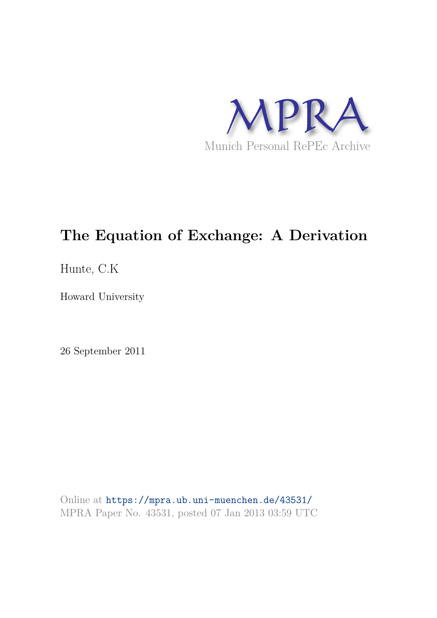

# **The Equation of Exchange: A Derivation**

Hunte, C.K

Howard University

26 September 2011

Online at https://mpra.ub.uni-muenchen.de/43531/ MPRA Paper No. 43531, posted 07 Jan 2013 03:59 UTC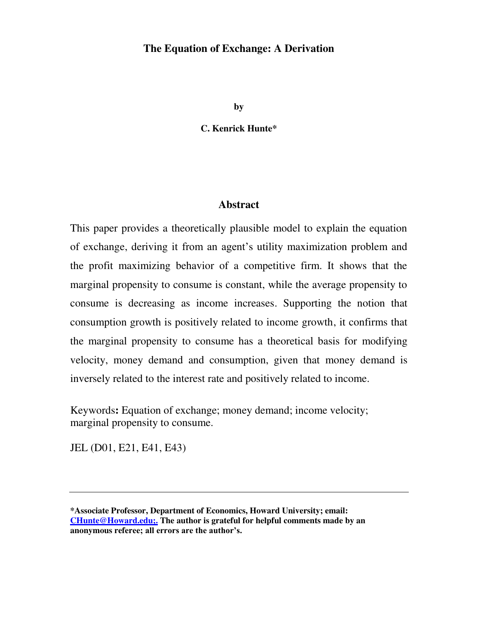## **The Equation of Exchange: A Derivation**

**by**

**C. Kenrick Hunte\*** 

#### **Abstract**

This paper provides a theoretically plausible model to explain the equation of exchange, deriving it from an agent's utility maximization problem and the profit maximizing behavior of a competitive firm. It shows that the marginal propensity to consume is constant, while the average propensity to consume is decreasing as income increases. Supporting the notion that consumption growth is positively related to income growth, it confirms that the marginal propensity to consume has a theoretical basis for modifying velocity, money demand and consumption, given that money demand is inversely related to the interest rate and positively related to income.

Keywords**:** Equation of exchange; money demand; income velocity; marginal propensity to consume.

JEL (D01, E21, E41, E43)

**<sup>\*</sup>Associate Professor, Department of Economics, Howard University; email: [CHunte@Howard.edu;.](mailto:CHunte@Howard.edu;.) The author is grateful for helpful comments made by an anonymous referee; all errors are the author's.**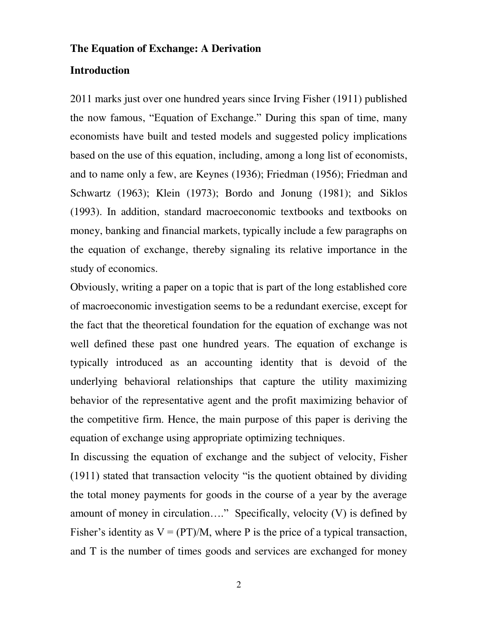## **The Equation of Exchange: A Derivation**

## **Introduction**

2011 marks just over one hundred years since Irving Fisher (1911) published the now famous, "Equation of Exchange." During this span of time, many economists have built and tested models and suggested policy implications based on the use of this equation, including, among a long list of economists, and to name only a few, are Keynes (1936); Friedman (1956); Friedman and Schwartz (1963); Klein (1973); Bordo and Jonung (1981); and Siklos (1993). In addition, standard macroeconomic textbooks and textbooks on money, banking and financial markets, typically include a few paragraphs on the equation of exchange, thereby signaling its relative importance in the study of economics.

Obviously, writing a paper on a topic that is part of the long established core of macroeconomic investigation seems to be a redundant exercise, except for the fact that the theoretical foundation for the equation of exchange was not well defined these past one hundred years. The equation of exchange is typically introduced as an accounting identity that is devoid of the underlying behavioral relationships that capture the utility maximizing behavior of the representative agent and the profit maximizing behavior of the competitive firm. Hence, the main purpose of this paper is deriving the equation of exchange using appropriate optimizing techniques.

In discussing the equation of exchange and the subject of velocity, Fisher (1911) stated that transaction velocity "is the quotient obtained by dividing the total money payments for goods in the course of a year by the average amount of money in circulation…." Specifically, velocity (V) is defined by Fisher's identity as  $V = (PT)/M$ , where P is the price of a typical transaction, and T is the number of times goods and services are exchanged for money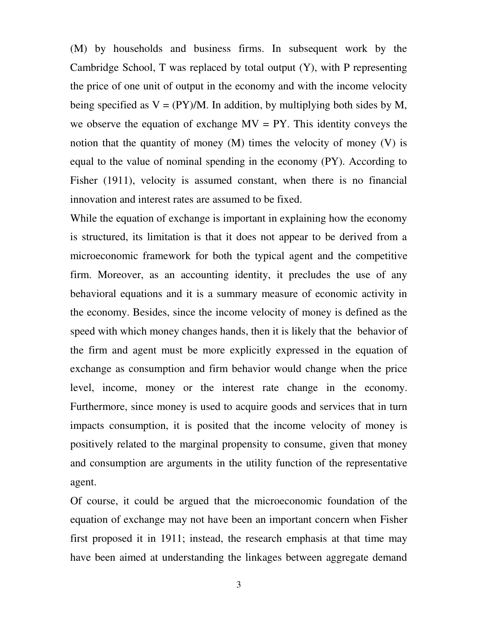(M) by households and business firms. In subsequent work by the Cambridge School, T was replaced by total output (Y), with P representing the price of one unit of output in the economy and with the income velocity being specified as  $V = (PY)/M$ . In addition, by multiplying both sides by M, we observe the equation of exchange  $MV = PY$ . This identity conveys the notion that the quantity of money  $(M)$  times the velocity of money  $(V)$  is equal to the value of nominal spending in the economy (PY). According to Fisher (1911), velocity is assumed constant, when there is no financial innovation and interest rates are assumed to be fixed.

While the equation of exchange is important in explaining how the economy is structured, its limitation is that it does not appear to be derived from a microeconomic framework for both the typical agent and the competitive firm. Moreover, as an accounting identity, it precludes the use of any behavioral equations and it is a summary measure of economic activity in the economy. Besides, since the income velocity of money is defined as the speed with which money changes hands, then it is likely that the behavior of the firm and agent must be more explicitly expressed in the equation of exchange as consumption and firm behavior would change when the price level, income, money or the interest rate change in the economy. Furthermore, since money is used to acquire goods and services that in turn impacts consumption, it is posited that the income velocity of money is positively related to the marginal propensity to consume, given that money and consumption are arguments in the utility function of the representative agent.

Of course, it could be argued that the microeconomic foundation of the equation of exchange may not have been an important concern when Fisher first proposed it in 1911; instead, the research emphasis at that time may have been aimed at understanding the linkages between aggregate demand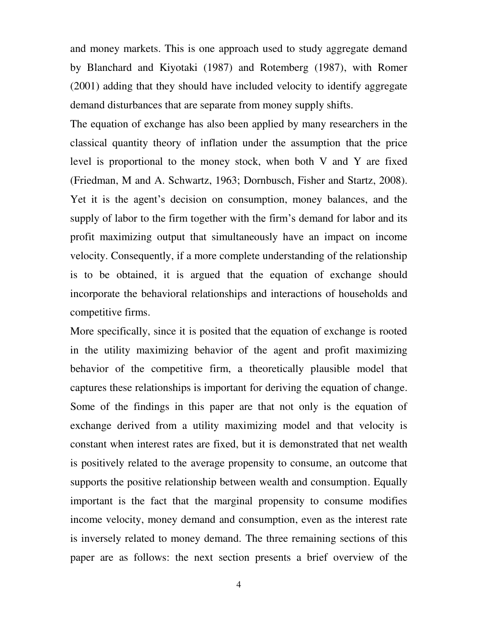and money markets. This is one approach used to study aggregate demand by Blanchard and Kiyotaki (1987) and Rotemberg (1987), with Romer (2001) adding that they should have included velocity to identify aggregate demand disturbances that are separate from money supply shifts.

The equation of exchange has also been applied by many researchers in the classical quantity theory of inflation under the assumption that the price level is proportional to the money stock, when both V and Y are fixed (Friedman, M and A. Schwartz, 1963; Dornbusch, Fisher and Startz, 2008). Yet it is the agent's decision on consumption, money balances, and the supply of labor to the firm together with the firm's demand for labor and its profit maximizing output that simultaneously have an impact on income velocity. Consequently, if a more complete understanding of the relationship is to be obtained, it is argued that the equation of exchange should incorporate the behavioral relationships and interactions of households and competitive firms.

More specifically, since it is posited that the equation of exchange is rooted in the utility maximizing behavior of the agent and profit maximizing behavior of the competitive firm, a theoretically plausible model that captures these relationships is important for deriving the equation of change. Some of the findings in this paper are that not only is the equation of exchange derived from a utility maximizing model and that velocity is constant when interest rates are fixed, but it is demonstrated that net wealth is positively related to the average propensity to consume, an outcome that supports the positive relationship between wealth and consumption. Equally important is the fact that the marginal propensity to consume modifies income velocity, money demand and consumption, even as the interest rate is inversely related to money demand. The three remaining sections of this paper are as follows: the next section presents a brief overview of the

4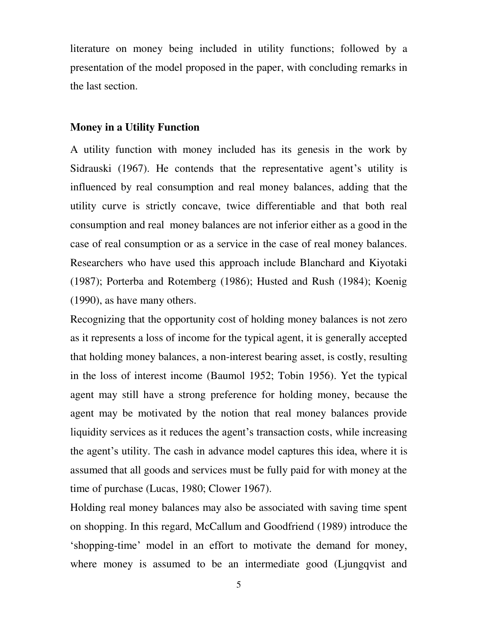literature on money being included in utility functions; followed by a presentation of the model proposed in the paper, with concluding remarks in the last section.

#### **Money in a Utility Function**

A utility function with money included has its genesis in the work by Sidrauski (1967). He contends that the representative agent's utility is influenced by real consumption and real money balances, adding that the utility curve is strictly concave, twice differentiable and that both real consumption and real money balances are not inferior either as a good in the case of real consumption or as a service in the case of real money balances. Researchers who have used this approach include Blanchard and Kiyotaki (1987); Porterba and Rotemberg (1986); Husted and Rush (1984); Koenig (1990), as have many others.

Recognizing that the opportunity cost of holding money balances is not zero as it represents a loss of income for the typical agent, it is generally accepted that holding money balances, a non-interest bearing asset, is costly, resulting in the loss of interest income (Baumol 1952; Tobin 1956). Yet the typical agent may still have a strong preference for holding money, because the agent may be motivated by the notion that real money balances provide liquidity services as it reduces the agent's transaction costs, while increasing the agent's utility. The cash in advance model captures this idea, where it is assumed that all goods and services must be fully paid for with money at the time of purchase (Lucas, 1980; Clower 1967).

Holding real money balances may also be associated with saving time spent on shopping. In this regard, McCallum and Goodfriend (1989) introduce the 'shopping-time' model in an effort to motivate the demand for money, where money is assumed to be an intermediate good (Ljungqvist and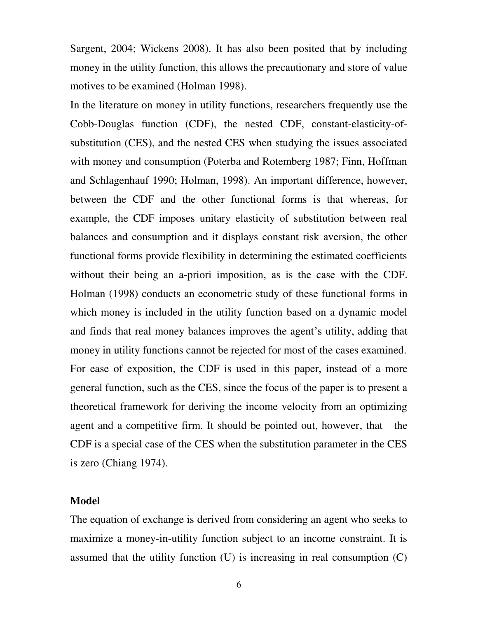Sargent, 2004; Wickens 2008). It has also been posited that by including money in the utility function, this allows the precautionary and store of value motives to be examined (Holman 1998).

In the literature on money in utility functions, researchers frequently use the Cobb-Douglas function (CDF), the nested CDF, constant-elasticity-ofsubstitution (CES), and the nested CES when studying the issues associated with money and consumption (Poterba and Rotemberg 1987; Finn, Hoffman and Schlagenhauf 1990; Holman, 1998). An important difference, however, between the CDF and the other functional forms is that whereas, for example, the CDF imposes unitary elasticity of substitution between real balances and consumption and it displays constant risk aversion, the other functional forms provide flexibility in determining the estimated coefficients without their being an a-priori imposition, as is the case with the CDF. Holman (1998) conducts an econometric study of these functional forms in which money is included in the utility function based on a dynamic model and finds that real money balances improves the agent's utility, adding that money in utility functions cannot be rejected for most of the cases examined. For ease of exposition, the CDF is used in this paper, instead of a more general function, such as the CES, since the focus of the paper is to present a theoretical framework for deriving the income velocity from an optimizing agent and a competitive firm. It should be pointed out, however, that the CDF is a special case of the CES when the substitution parameter in the CES is zero (Chiang 1974).

## **Model**

The equation of exchange is derived from considering an agent who seeks to maximize a money-in-utility function subject to an income constraint. It is assumed that the utility function (U) is increasing in real consumption (C)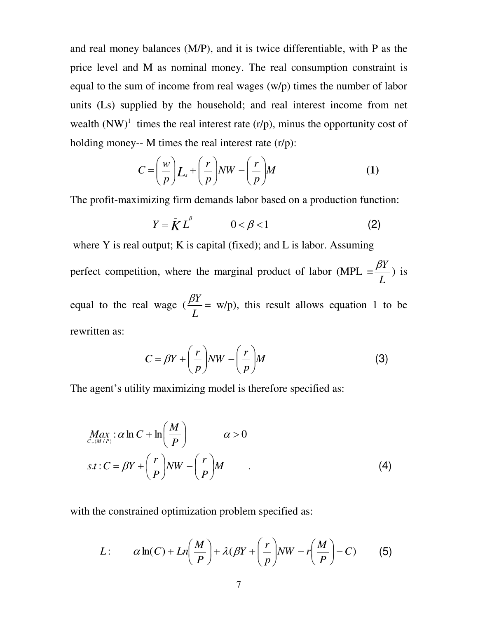and real money balances (M/P), and it is twice differentiable, with P as the price level and M as nominal money. The real consumption constraint is equal to the sum of income from real wages (w/p) times the number of labor units (Ls) supplied by the household; and real interest income from net wealth  $(NW)^1$  times the real interest rate  $(r/p)$ , minus the opportunity cost of holding money-- M times the real interest rate  $(r/p)$ :

$$
C = \left(\frac{w}{p}\right) L_s + \left(\frac{r}{p}\right) NW - \left(\frac{r}{p}\right) M \tag{1}
$$

The profit-maximizing firm demands labor based on a production function:

$$
Y = \bar{K} L^{\beta} \qquad \qquad 0 < \beta < 1 \tag{2}
$$

where Y is real output; K is capital (fixed); and L is labor. Assuming

perfect competition, where the marginal product of labor (MPL = *L*  $\beta Y$ ) is

equal to the real wage ( *L*  $\beta Y$ = w/p), this result allows equation 1 to be rewritten as:

$$
C = \beta Y + \left(\frac{r}{p}\right) NW - \left(\frac{r}{p}\right) M \tag{3}
$$

The agent's utility maximizing model is therefore specified as:

$$
Max_{C,(M/P)} : \alpha \ln C + \ln \left( \frac{M}{P} \right) \qquad \alpha > 0
$$
  
s.t : C =  $\beta Y + \left( \frac{r}{P} \right) NW - \left( \frac{r}{P} \right) M$  (4)

with the constrained optimization problem specified as:

$$
L: \qquad \alpha \ln(C) + Ln\left(\frac{M}{P}\right) + \lambda(\beta Y + \left(\frac{r}{p}\right) NW - r\left(\frac{M}{P}\right) - C) \tag{5}
$$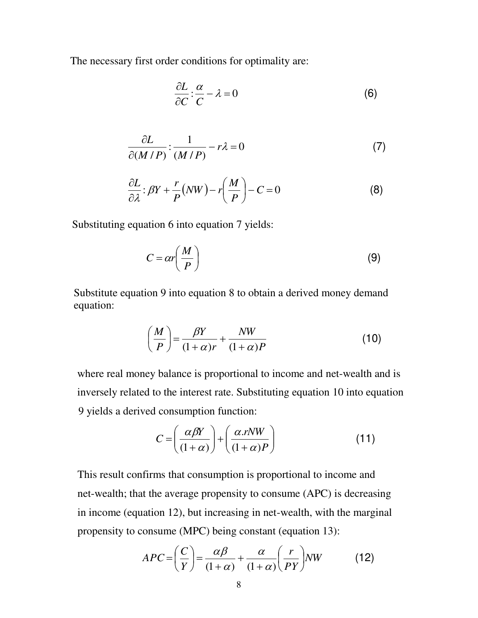The necessary first order conditions for optimality are:

$$
\frac{\partial L}{\partial C} : \frac{\alpha}{C} - \lambda = 0 \tag{6}
$$

$$
\frac{\partial L}{\partial (M/P)} : \frac{1}{(M/P)} - r\lambda = 0 \tag{7}
$$

$$
\frac{\partial L}{\partial \lambda} : \beta Y + \frac{r}{P} (NW) - r \left( \frac{M}{P} \right) - C = 0 \tag{8}
$$

Substituting equation 6 into equation 7 yields:

$$
C = \alpha r \left(\frac{M}{P}\right) \tag{9}
$$

Substitute equation 9 into equation 8 to obtain a derived money demand equation:

$$
\left(\frac{M}{P}\right) = \frac{\beta Y}{(1+\alpha)r} + \frac{NW}{(1+\alpha)P} \tag{10}
$$

where real money balance is proportional to income and net-wealth and is inversely related to the interest rate. Substituting equation 10 into equation 9 yields a derived consumption function:

$$
C = \left(\frac{\alpha\beta Y}{(1+\alpha)}\right) + \left(\frac{\alpha.rNW}{(1+\alpha)P}\right)
$$
 (11)

This result confirms that consumption is proportional to income and net-wealth; that the average propensity to consume (APC) is decreasing in income (equation 12), but increasing in net-wealth, with the marginal propensity to consume (MPC) being constant (equation 13):

$$
APC = \left(\frac{C}{Y}\right) = \frac{\alpha\beta}{(1+\alpha)} + \frac{\alpha}{(1+\alpha)}\left(\frac{r}{PY}\right)NW
$$
 (12)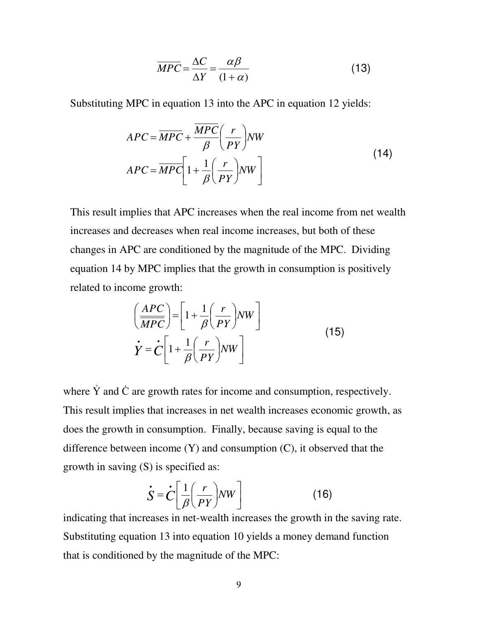$$
\overline{MPC} = \frac{\Delta C}{\Delta Y} = \frac{\alpha \beta}{(1 + \alpha)}
$$
 (13)

Substituting MPC in equation 13 into the APC in equation 12 yields:

$$
APC = \overline{MPC} + \frac{\overline{MPC}}{\beta} \left(\frac{r}{PY}\right) NW
$$
  
 
$$
APC = \overline{MPC} \left[1 + \frac{1}{\beta} \left(\frac{r}{PY}\right) NW\right]
$$
 (14)

This result implies that APC increases when the real income from net wealth increases and decreases when real income increases, but both of these changes in APC are conditioned by the magnitude of the MPC. Dividing equation 14 by MPC implies that the growth in consumption is positively related to income growth:

$$
\left(\frac{APC}{MPC}\right) = \left[1 + \frac{1}{\beta}\left(\frac{r}{PY}\right)NW\right]
$$
\n
$$
\dot{Y} = \dot{C}\left[1 + \frac{1}{\beta}\left(\frac{r}{PY}\right)NW\right]
$$
\n(15)

where  $\dot{Y}$  and  $\dot{C}$  are growth rates for income and consumption, respectively. This result implies that increases in net wealth increases economic growth, as does the growth in consumption. Finally, because saving is equal to the difference between income (Y) and consumption (C), it observed that the growth in saving (S) is specified as:

$$
\dot{S} = \dot{C} \left[ \frac{1}{\beta} \left( \frac{r}{PY} \right) NW \right]
$$
 (16)

indicating that increases in net-wealth increases the growth in the saving rate. Substituting equation 13 into equation 10 yields a money demand function that is conditioned by the magnitude of the MPC: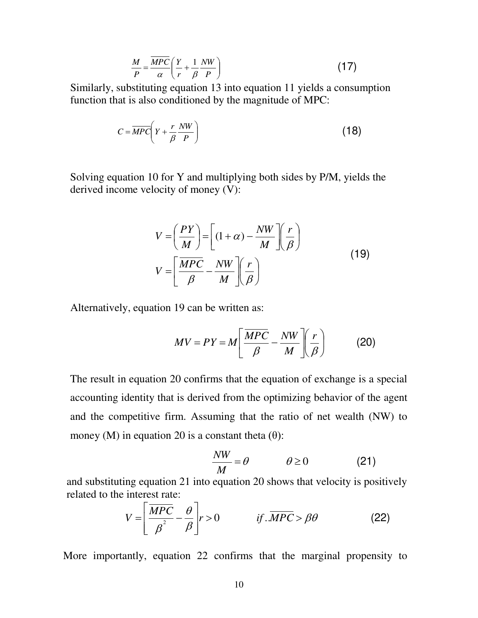$$
\frac{M}{P} = \frac{\overline{MPC}}{\alpha} \left( \frac{Y}{r} + \frac{1}{\beta} \frac{NW}{P} \right) \tag{17}
$$

Similarly, substituting equation 13 into equation 11 yields a consumption function that is also conditioned by the magnitude of MPC:

$$
C = \overline{MPC} \left( Y + \frac{r}{\beta} \frac{NW}{P} \right) \tag{18}
$$

Solving equation 10 for Y and multiplying both sides by P/M, yields the derived income velocity of money (V):

$$
V = \left(\frac{PY}{M}\right) = \left[ (1+\alpha) - \frac{NW}{M} \right] \left(\frac{r}{\beta}\right)
$$
  

$$
V = \left[ \frac{\overline{MPC}}{\beta} - \frac{NW}{M} \right] \left(\frac{r}{\beta}\right)
$$
 (19)

Alternatively, equation 19 can be written as:

$$
MV = PY = M \left[ \frac{\overline{MPC}}{\beta} - \frac{NW}{M} \right] \left( \frac{r}{\beta} \right) \tag{20}
$$

The result in equation 20 confirms that the equation of exchange is a special accounting identity that is derived from the optimizing behavior of the agent and the competitive firm. Assuming that the ratio of net wealth (NW) to money (M) in equation 20 is a constant theta  $(\theta)$ :

$$
\frac{NW}{M} = \theta \qquad \qquad \theta \ge 0 \tag{21}
$$

and substituting equation 21 into equation 20 shows that velocity is positively related to the interest rate:

$$
V = \left[ \frac{\overline{MPC}}{\beta^2} - \frac{\theta}{\beta} \right] r > 0 \qquad \text{if } \overline{MPC} > \beta\theta \tag{22}
$$

More importantly, equation 22 confirms that the marginal propensity to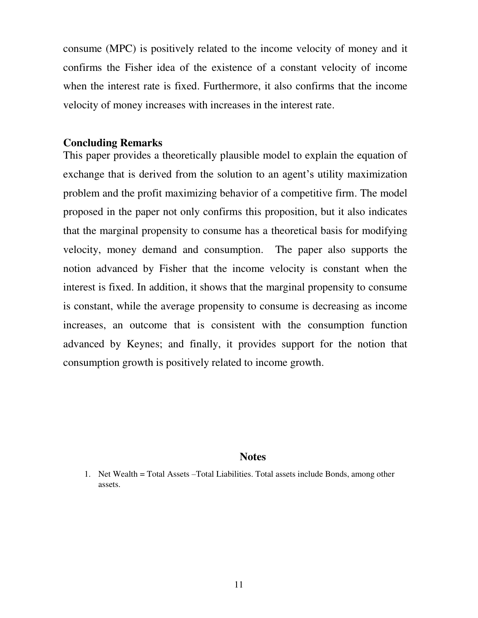consume (MPC) is positively related to the income velocity of money and it confirms the Fisher idea of the existence of a constant velocity of income when the interest rate is fixed. Furthermore, it also confirms that the income velocity of money increases with increases in the interest rate.

## **Concluding Remarks**

This paper provides a theoretically plausible model to explain the equation of exchange that is derived from the solution to an agent's utility maximization problem and the profit maximizing behavior of a competitive firm. The model proposed in the paper not only confirms this proposition, but it also indicates that the marginal propensity to consume has a theoretical basis for modifying velocity, money demand and consumption. The paper also supports the notion advanced by Fisher that the income velocity is constant when the interest is fixed. In addition, it shows that the marginal propensity to consume is constant, while the average propensity to consume is decreasing as income increases, an outcome that is consistent with the consumption function advanced by Keynes; and finally, it provides support for the notion that consumption growth is positively related to income growth.

### **Notes**

<sup>1.</sup> Net Wealth = Total Assets –Total Liabilities. Total assets include Bonds, among other assets.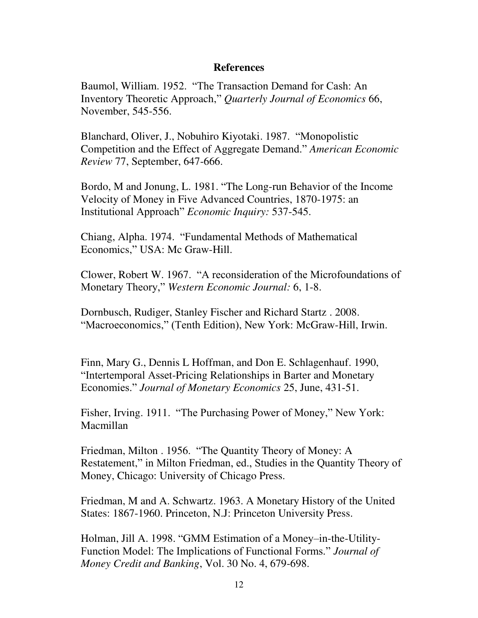## **References**

Baumol, William. 1952. "The Transaction Demand for Cash: An Inventory Theoretic Approach," *Quarterly Journal of Economics* 66, November, 545-556.

Blanchard, Oliver, J., Nobuhiro Kiyotaki. 1987. "Monopolistic Competition and the Effect of Aggregate Demand." *American Economic Review* 77, September, 647-666.

Bordo, M and Jonung, L. 1981. "The Long-run Behavior of the Income Velocity of Money in Five Advanced Countries, 1870-1975: an Institutional Approach" *Economic Inquiry:* 537-545.

Chiang, Alpha. 1974. "Fundamental Methods of Mathematical Economics," USA: Mc Graw-Hill.

Clower, Robert W. 1967. "A reconsideration of the Microfoundations of Monetary Theory," *Western Economic Journal:* 6, 1-8.

Dornbusch, Rudiger, Stanley Fischer and Richard Startz . 2008. "Macroeconomics," (Tenth Edition), New York: McGraw-Hill, Irwin.

Finn, Mary G., Dennis L Hoffman, and Don E. Schlagenhauf. 1990, "Intertemporal Asset-Pricing Relationships in Barter and Monetary Economies." *Journal of Monetary Economics* 25, June, 431-51.

Fisher, Irving. 1911. "The Purchasing Power of Money," New York: Macmillan

Friedman, Milton . 1956. "The Quantity Theory of Money: A Restatement," in Milton Friedman, ed., Studies in the Quantity Theory of Money, Chicago: University of Chicago Press.

Friedman, M and A. Schwartz. 1963. A Monetary History of the United States: 1867-1960. Princeton, N.J: Princeton University Press.

Holman, Jill A. 1998. "GMM Estimation of a Money–in-the-Utility-Function Model: The Implications of Functional Forms." *Journal of Money Credit and Banking*, Vol. 30 No. 4, 679-698.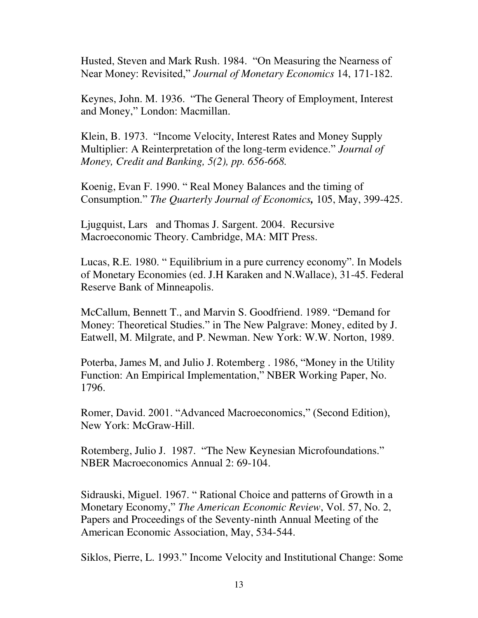Husted, Steven and Mark Rush. 1984. "On Measuring the Nearness of Near Money: Revisited," *Journal of Monetary Economics* 14, 171-182.

Keynes, John. M. 1936. "The General Theory of Employment, Interest and Money," London: Macmillan.

Klein, B. 1973. "Income Velocity, Interest Rates and Money Supply Multiplier: A Reinterpretation of the long-term evidence." *Journal of Money, Credit and Banking, 5(2), pp. 656-668.* 

Koenig, Evan F. 1990. " Real Money Balances and the timing of Consumption." *The Quarterly Journal of Economics,* 105, May, 399-425.

Ljugquist, Lars and Thomas J. Sargent. 2004. Recursive Macroeconomic Theory. Cambridge, MA: MIT Press.

Lucas, R.E. 1980. " Equilibrium in a pure currency economy". In Models of Monetary Economies (ed. J.H Karaken and N.Wallace), 31-45. Federal Reserve Bank of Minneapolis.

McCallum, Bennett T., and Marvin S. Goodfriend. 1989. "Demand for Money: Theoretical Studies." in The New Palgrave: Money, edited by J. Eatwell, M. Milgrate, and P. Newman. New York: W.W. Norton, 1989.

Poterba, James M, and Julio J. Rotemberg . 1986, "Money in the Utility Function: An Empirical Implementation," NBER Working Paper, No. 1796.

Romer, David. 2001. "Advanced Macroeconomics," (Second Edition), New York: McGraw-Hill.

Rotemberg, Julio J. 1987. "The New Keynesian Microfoundations." NBER Macroeconomics Annual 2: 69-104.

Sidrauski, Miguel. 1967. " Rational Choice and patterns of Growth in a Monetary Economy," *The American Economic Review*, Vol. 57, No. 2, Papers and Proceedings of the Seventy-ninth Annual Meeting of the American Economic Association, May, 534-544.

Siklos, Pierre, L. 1993." Income Velocity and Institutional Change: Some